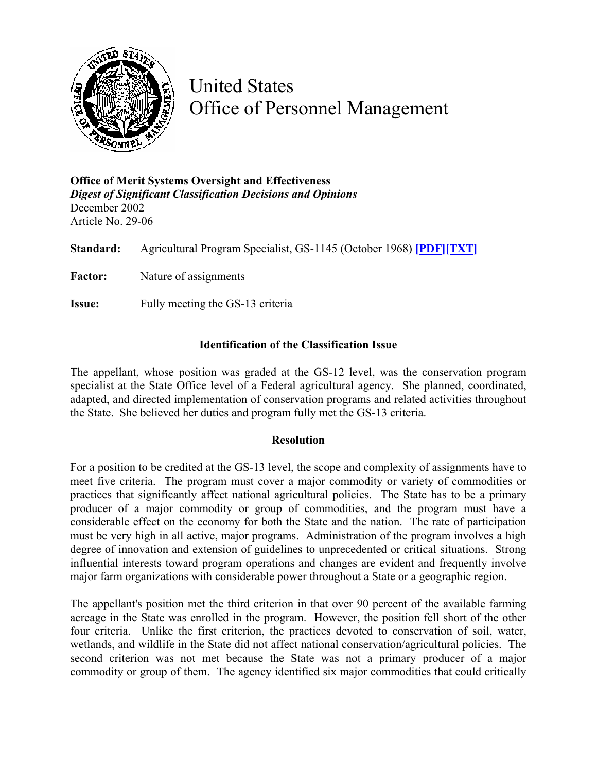

United States Office of Personnel Management

**Office of Merit Systems Oversight and Effectiveness**  *Digest of Significant Classification Decisions and Opinions* December 2002 Article No. 29-06

**Standard:** Agricultural Program Specialist, GS-1145 (October 1968) **[\[PDF\]](http://www.opm.gov/fedclass/gs1145.pdf)[\[TXT\]](http://www.opm.gov/fedclass/text/gs1145.w51)** Factor: Nature of assignments **Issue:** Fully meeting the GS-13 criteria

## **Identification of the Classification Issue**

The appellant, whose position was graded at the GS-12 level, was the conservation program specialist at the State Office level of a Federal agricultural agency. She planned, coordinated, adapted, and directed implementation of conservation programs and related activities throughout the State. She believed her duties and program fully met the GS-13 criteria.

## **Resolution**

For a position to be credited at the GS-13 level, the scope and complexity of assignments have to meet five criteria. The program must cover a major commodity or variety of commodities or practices that significantly affect national agricultural policies. The State has to be a primary producer of a major commodity or group of commodities, and the program must have a considerable effect on the economy for both the State and the nation. The rate of participation must be very high in all active, major programs. Administration of the program involves a high degree of innovation and extension of guidelines to unprecedented or critical situations. Strong influential interests toward program operations and changes are evident and frequently involve major farm organizations with considerable power throughout a State or a geographic region.

The appellant's position met the third criterion in that over 90 percent of the available farming acreage in the State was enrolled in the program. However, the position fell short of the other four criteria. Unlike the first criterion, the practices devoted to conservation of soil, water, wetlands, and wildlife in the State did not affect national conservation/agricultural policies. The second criterion was not met because the State was not a primary producer of a major commodity or group of them. The agency identified six major commodities that could critically